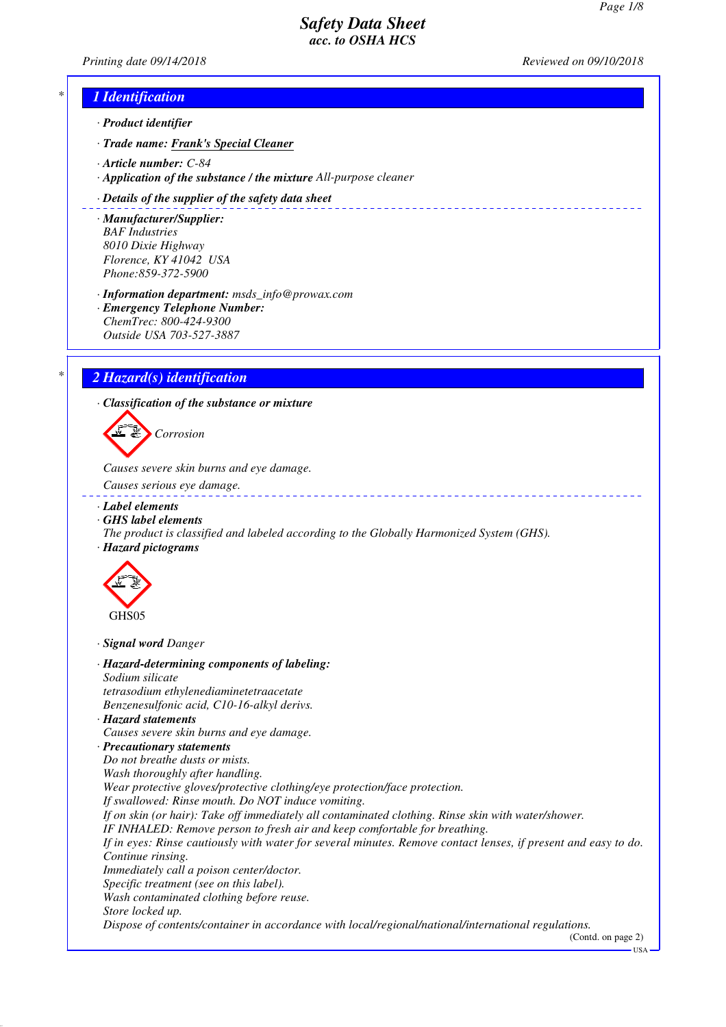*Printing date 09/14/2018 Reviewed on 09/10/2018*

\_\_\_\_\_\_\_\_\_\_\_\_\_\_\_\_\_\_\_\_\_\_\_

## *\* 1 Identification*

- *· Product identifier*
- *· Trade name: Frank's Special Cleaner*
- *· Article number: C-84*
- *· Application of the substance / the mixture All-purpose cleaner*

#### *· Details of the supplier of the safety data sheet*

- *· Manufacturer/Supplier: BAF Industries 8010 Dixie Highway Florence, KY 41042 USA Phone:859-372-5900*
- *· Information department: msds\_info@prowax.com*
- *· Emergency Telephone Number: ChemTrec: 800-424-9300 Outside USA 703-527-3887*

## *\* 2 Hazard(s) identification*

*· Classification of the substance or mixture*



*Causes severe skin burns and eye damage.* 

- *Causes serious eye damage.*
- *· Label elements*
- *· GHS label elements*
- *The product is classified and labeled according to the Globally Harmonized System (GHS).*
- *· Hazard pictograms*



*· Signal word Danger*

*· Hazard-determining components of labeling: Sodium silicate tetrasodium ethylenediaminetetraacetate Benzenesulfonic acid, C10-16-alkyl derivs. · Hazard statements Causes severe skin burns and eye damage. · Precautionary statements Do not breathe dusts or mists. Wash thoroughly after handling. Wear protective gloves/protective clothing/eye protection/face protection. If swallowed: Rinse mouth. Do NOT induce vomiting. If on skin (or hair): Take off immediately all contaminated clothing. Rinse skin with water/shower. IF INHALED: Remove person to fresh air and keep comfortable for breathing. If in eyes: Rinse cautiously with water for several minutes. Remove contact lenses, if present and easy to do. Continue rinsing. Immediately call a poison center/doctor. Specific treatment (see on this label). Wash contaminated clothing before reuse. Store locked up. Dispose of contents/container in accordance with local/regional/national/international regulations.*

(Contd. on page 2)

**IISA**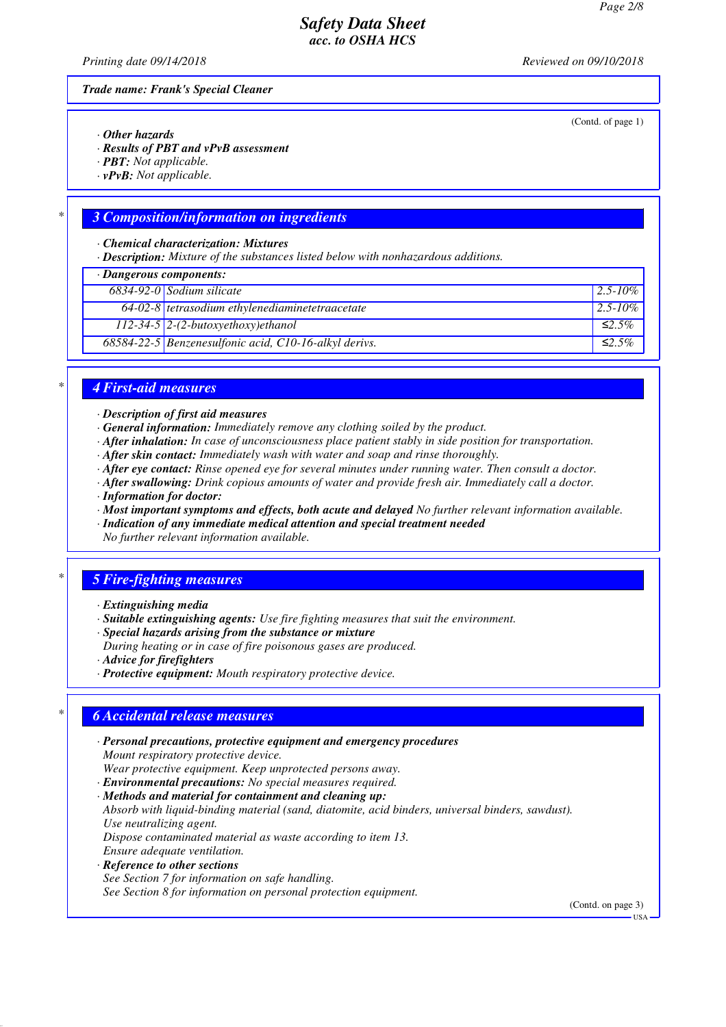*Printing date 09/14/2018 Reviewed on 09/10/2018*

(Contd. of page 1)

*Trade name: Frank's Special Cleaner*

- *· Other hazards*
- *· Results of PBT and vPvB assessment*
- *· PBT: Not applicable.*
- *· vPvB: Not applicable.*

### *\* 3 Composition/information on ingredients*

*· Chemical characterization: Mixtures*

*· Description: Mixture of the substances listed below with nonhazardous additions.*

| $\cdot$ Dangerous components: |                                                       |               |  |
|-------------------------------|-------------------------------------------------------|---------------|--|
|                               | $6834-92-0$ Sodium silicate                           | $12.5 - 10\%$ |  |
|                               | $64-02-8$ tetrasodium ethylenediaminetetraacetate     | $2.5 - 10\%$  |  |
|                               | $112-34-5$ 2-(2-butoxyethoxy)ethanol                  | $\leq 2.5\%$  |  |
|                               | 68584-22-5 Benzenesulfonic acid, C10-16-alkyl derivs. | ≤2.5%         |  |

#### *\* 4 First-aid measures*

*· Description of first aid measures*

- *· General information: Immediately remove any clothing soiled by the product.*
- *· After inhalation: In case of unconsciousness place patient stably in side position for transportation.*
- *· After skin contact: Immediately wash with water and soap and rinse thoroughly.*
- *· After eye contact: Rinse opened eye for several minutes under running water. Then consult a doctor.*
- *· After swallowing: Drink copious amounts of water and provide fresh air. Immediately call a doctor.*
- *· Information for doctor:*
- *· Most important symptoms and effects, both acute and delayed No further relevant information available.*
- *· Indication of any immediate medical attention and special treatment needed*

*No further relevant information available.*

## *\* 5 Fire-fighting measures*

- *· Extinguishing media*
- *· Suitable extinguishing agents: Use fire fighting measures that suit the environment.*
- *· Special hazards arising from the substance or mixture*
- *During heating or in case of fire poisonous gases are produced.*
- *· Advice for firefighters*
- *· Protective equipment: Mouth respiratory protective device.*

## *\* 6 Accidental release measures*

- *· Personal precautions, protective equipment and emergency procedures Mount respiratory protective device. Wear protective equipment. Keep unprotected persons away.*
- *· Environmental precautions: No special measures required.*
- *· Methods and material for containment and cleaning up:*

*Absorb with liquid-binding material (sand, diatomite, acid binders, universal binders, sawdust). Use neutralizing agent.*

*Dispose contaminated material as waste according to item 13. Ensure adequate ventilation.*

- *· Reference to other sections*
- *See Section 7 for information on safe handling.*

*See Section 8 for information on personal protection equipment.*

(Contd. on page 3)

USA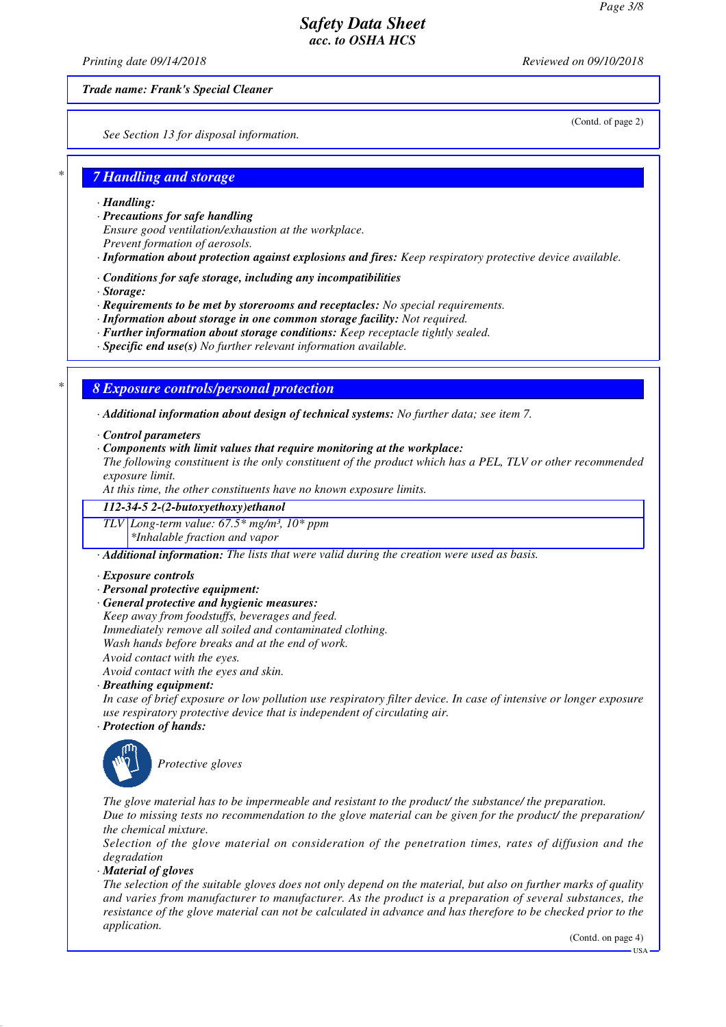*Printing date 09/14/2018 Reviewed on 09/10/2018*

*Trade name: Frank's Special Cleaner*

(Contd. of page 2)

*See Section 13 for disposal information.*

# *\* 7 Handling and storage*

- *· Handling:*
- *· Precautions for safe handling Ensure good ventilation/exhaustion at the workplace. Prevent formation of aerosols.*
- *· Information about protection against explosions and fires: Keep respiratory protective device available.*
- *· Conditions for safe storage, including any incompatibilities*
- *· Storage:*
- *· Requirements to be met by storerooms and receptacles: No special requirements.*
- *· Information about storage in one common storage facility: Not required.*
- *· Further information about storage conditions: Keep receptacle tightly sealed.*
- *· Specific end use(s) No further relevant information available.*

## *\* 8 Exposure controls/personal protection*

*· Additional information about design of technical systems: No further data; see item 7.*

- *· Control parameters*
- *· Components with limit values that require monitoring at the workplace:*

*The following constituent is the only constituent of the product which has a PEL, TLV or other recommended exposure limit.*

*At this time, the other constituents have no known exposure limits.*

#### *112-34-5 2-(2-butoxyethoxy)ethanol*

*TLV Long-term value: 67.5\* mg/m³, 10\* ppm*

*\*Inhalable fraction and vapor*

*· Additional information: The lists that were valid during the creation were used as basis.*

- *· Exposure controls*
- *· Personal protective equipment:*
- *· General protective and hygienic measures:*
- *Keep away from foodstuffs, beverages and feed.*

*Immediately remove all soiled and contaminated clothing.*

*Wash hands before breaks and at the end of work.*

*Avoid contact with the eyes.*

*Avoid contact with the eyes and skin.*

- *· Breathing equipment:*
- *In case of brief exposure or low pollution use respiratory filter device. In case of intensive or longer exposure use respiratory protective device that is independent of circulating air.*
- *· Protection of hands:*



*Protective gloves*

*The glove material has to be impermeable and resistant to the product/ the substance/ the preparation. Due to missing tests no recommendation to the glove material can be given for the product/ the preparation/ the chemical mixture.*

*Selection of the glove material on consideration of the penetration times, rates of diffusion and the degradation*

*· Material of gloves*

*The selection of the suitable gloves does not only depend on the material, but also on further marks of quality and varies from manufacturer to manufacturer. As the product is a preparation of several substances, the resistance of the glove material can not be calculated in advance and has therefore to be checked prior to the application.*

(Contd. on page 4)

USA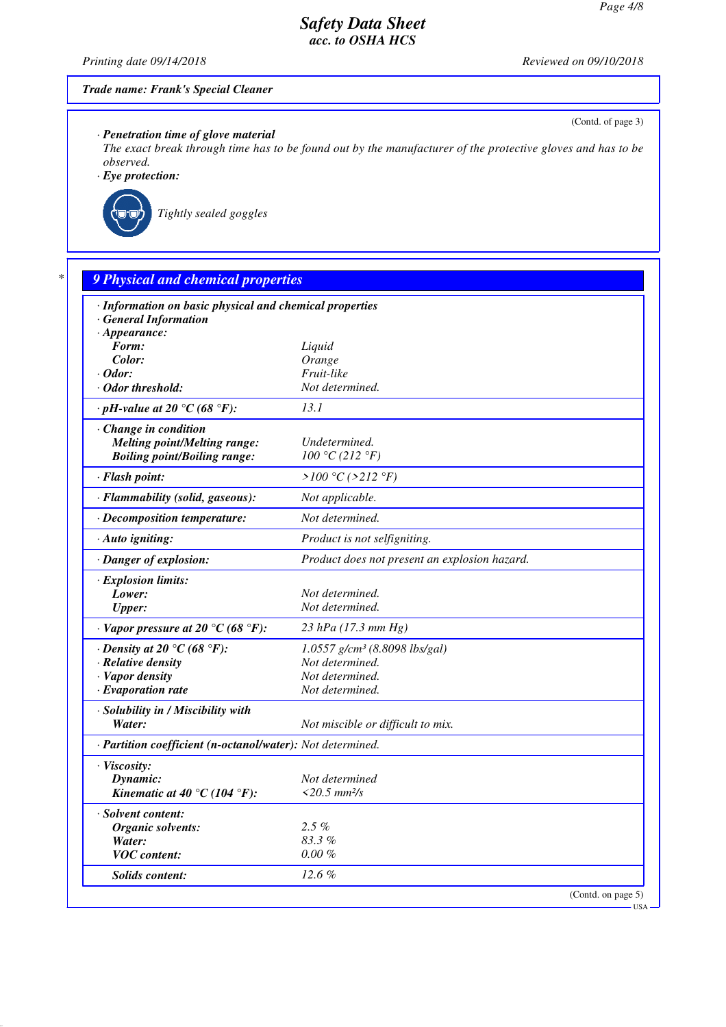*Printing date 09/14/2018 Reviewed on 09/10/2018*

(Contd. of page 3)

#### *Trade name: Frank's Special Cleaner*

*· Penetration time of glove material*

*The exact break through time has to be found out by the manufacturer of the protective gloves and has to be observed.*

*· Eye protection:*



*Tightly sealed goggles*

# *\* 9 Physical and chemical properties*

| · Information on basic physical and chemical properties    |                                               |  |  |  |
|------------------------------------------------------------|-----------------------------------------------|--|--|--|
| · General Information                                      |                                               |  |  |  |
| $\cdot$ Appearance:<br>Form:                               |                                               |  |  |  |
| Color:                                                     | Liquid<br>Orange                              |  |  |  |
| $\cdot$ Odor:                                              | Fruit-like                                    |  |  |  |
| · Odor threshold:                                          | Not determined.                               |  |  |  |
| $\cdot$ pH-value at 20 °C (68 °F):                         | 13.1                                          |  |  |  |
|                                                            |                                               |  |  |  |
| Change in condition                                        |                                               |  |  |  |
| <b>Melting point/Melting range:</b>                        | Undetermined.                                 |  |  |  |
| <b>Boiling point/Boiling range:</b>                        | 100 °C (212 °F)                               |  |  |  |
| · Flash point:                                             | > $100 °C$ (>212 °F)                          |  |  |  |
| · Flammability (solid, gaseous):                           | Not applicable.                               |  |  |  |
| · Decomposition temperature:                               | Not determined.                               |  |  |  |
| · Auto igniting:                                           | Product is not selfigniting.                  |  |  |  |
| · Danger of explosion:                                     | Product does not present an explosion hazard. |  |  |  |
| · Explosion limits:                                        |                                               |  |  |  |
| Lower:                                                     | Not determined.                               |  |  |  |
| <b>Upper:</b>                                              | Not determined.                               |  |  |  |
| $\cdot$ Vapor pressure at 20 °C (68 °F):                   | 23 hPa (17.3 mm Hg)                           |  |  |  |
| $\cdot$ Density at 20 $\degree$ C (68 $\degree$ F):        | $1.0557$ g/cm <sup>3</sup> (8.8098 lbs/gal)   |  |  |  |
| $\cdot$ Relative density                                   | Not determined.                               |  |  |  |
| · Vapor density                                            | Not determined.                               |  |  |  |
| $\cdot$ Evaporation rate                                   | Not determined.                               |  |  |  |
| · Solubility in / Miscibility with                         |                                               |  |  |  |
| Water:                                                     | Not miscible or difficult to mix.             |  |  |  |
| · Partition coefficient (n-octanol/water): Not determined. |                                               |  |  |  |
| · Viscosity:                                               |                                               |  |  |  |
| Dynamic:                                                   | Not determined                                |  |  |  |
| Kinematic at 40 °C (104 °F):                               | $<$ 20.5 mm <sup>2</sup> /s                   |  |  |  |
| · Solvent content:                                         |                                               |  |  |  |
| Organic solvents:                                          | $2.5\%$                                       |  |  |  |
| Water:                                                     | $83.3\%$                                      |  |  |  |
| <b>VOC</b> content:                                        | $0.00 \%$                                     |  |  |  |
| <b>Solids content:</b>                                     | 12.6%                                         |  |  |  |
|                                                            | (Contd. on page 5)                            |  |  |  |

USA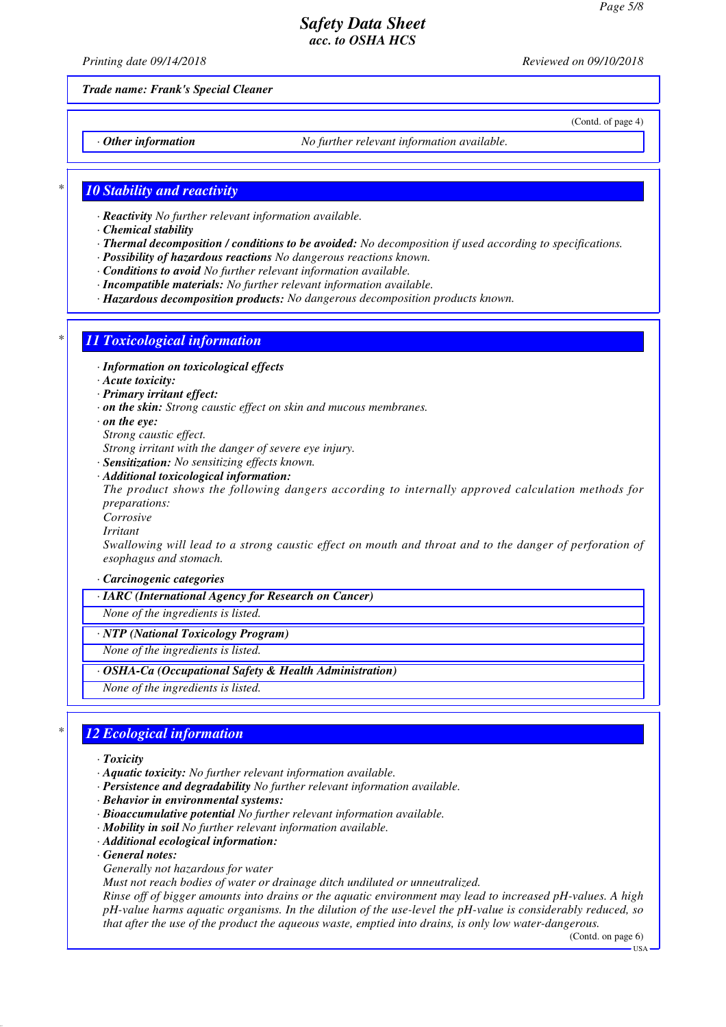*Printing date 09/14/2018 Reviewed on 09/10/2018*

(Contd. of page 4)

*Trade name: Frank's Special Cleaner*

*· Other information No further relevant information available.*

## *\* 10 Stability and reactivity*

- *· Reactivity No further relevant information available.*
- *· Chemical stability*
- *· Thermal decomposition / conditions to be avoided: No decomposition if used according to specifications.*
- *· Possibility of hazardous reactions No dangerous reactions known.*
- *· Conditions to avoid No further relevant information available.*
- *· Incompatible materials: No further relevant information available.*
- *· Hazardous decomposition products: No dangerous decomposition products known.*

## *\* 11 Toxicological information*

- *· Information on toxicological effects*
- *· Acute toxicity:*
- *· Primary irritant effect:*
- *· on the skin: Strong caustic effect on skin and mucous membranes.*
- *· on the eye:*
- *Strong caustic effect.*
- *Strong irritant with the danger of severe eye injury.*
- *· Sensitization: No sensitizing effects known.*
- *· Additional toxicological information:*

*The product shows the following dangers according to internally approved calculation methods for preparations:*

- *Corrosive*
- *Irritant*

*Swallowing will lead to a strong caustic effect on mouth and throat and to the danger of perforation of esophagus and stomach.*

- *· Carcinogenic categories*
- *· IARC (International Agency for Research on Cancer)*
- *None of the ingredients is listed.*
- *· NTP (National Toxicology Program)*
- *None of the ingredients is listed.*
- *· OSHA-Ca (Occupational Safety & Health Administration)*
- *None of the ingredients is listed.*

## *\* 12 Ecological information*

- *· Toxicity*
- *· Aquatic toxicity: No further relevant information available.*
- *· Persistence and degradability No further relevant information available.*
- *· Behavior in environmental systems:*
- *· Bioaccumulative potential No further relevant information available.*
- *· Mobility in soil No further relevant information available.*
- *· Additional ecological information:*
- *· General notes:*
- *Generally not hazardous for water*
- *Must not reach bodies of water or drainage ditch undiluted or unneutralized.*

*Rinse off of bigger amounts into drains or the aquatic environment may lead to increased pH-values. A high pH-value harms aquatic organisms. In the dilution of the use-level the pH-value is considerably reduced, so that after the use of the product the aqueous waste, emptied into drains, is only low water-dangerous.*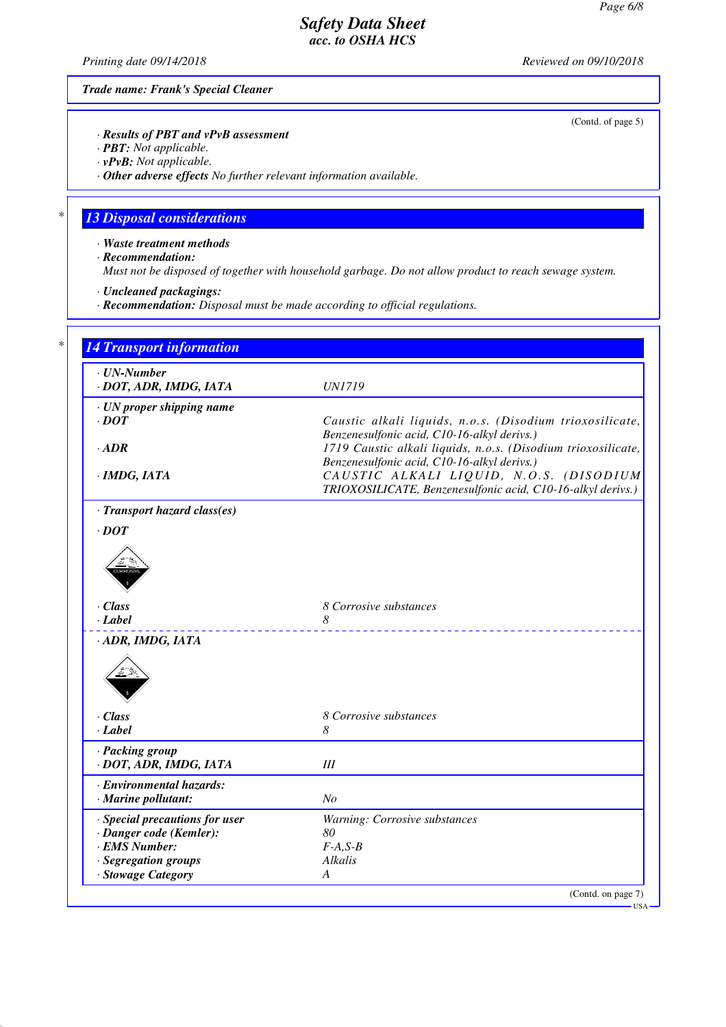*Printing date 09/14/2018 Reviewed on 09/10/2018*

(Contd. of page 5)

*Trade name: Frank's Special Cleaner*

*· Results of PBT and vPvB assessment*

*· PBT: Not applicable.*

*· vPvB: Not applicable.*

*· Other adverse effects No further relevant information available.*

## *\* 13 Disposal considerations*

*· Waste treatment methods*

*· Recommendation:*

*Must not be disposed of together with household garbage. Do not allow product to reach sewage system.*

*· Uncleaned packagings:*

*· Recommendation: Disposal must be made according to official regulations.*

| $\cdot$ UN-Number                          |                                                                                                        |
|--------------------------------------------|--------------------------------------------------------------------------------------------------------|
| · DOT, ADR, IMDG, IATA                     | <i>UN1719</i>                                                                                          |
| · UN proper shipping name                  |                                                                                                        |
| $\cdot$ DOT                                | Caustic alkali liquids, n.o.s. (Disodium trioxosilicate,                                               |
|                                            | Benzenesulfonic acid, C10-16-alkyl derivs.)                                                            |
| $\cdot$ ADR                                | 1719 Caustic alkali liquids, n.o.s. (Disodium trioxosilicate,                                          |
|                                            | Benzenesulfonic acid, C10-16-alkyl derivs.)                                                            |
| · IMDG, IATA                               | CAUSTIC ALKALI LIQUID, N.O.S. (DISODIUM<br>TRIOXOSILICATE, Benzenesulfonic acid, C10-16-alkyl derivs.) |
| · Transport hazard class(es)               |                                                                                                        |
| $\cdot$ DOT                                |                                                                                                        |
|                                            |                                                                                                        |
|                                            |                                                                                                        |
|                                            |                                                                                                        |
| $\cdot$ Class                              | 8 Corrosive substances                                                                                 |
| · Label                                    | 8                                                                                                      |
| · ADR, IMDG, IATA                          |                                                                                                        |
|                                            |                                                                                                        |
|                                            |                                                                                                        |
|                                            |                                                                                                        |
|                                            |                                                                                                        |
| $\cdot$ Class<br>$\cdot$ Label             | 8 Corrosive substances<br>8                                                                            |
|                                            |                                                                                                        |
| · Packing group                            | III                                                                                                    |
| · DOT, ADR, IMDG, IATA                     |                                                                                                        |
| · Environmental hazards:                   |                                                                                                        |
| · Marine pollutant:                        | No                                                                                                     |
| · Special precautions for user             | Warning: Corrosive substances                                                                          |
| · Danger code (Kemler):                    | 80                                                                                                     |
| · EMS Number:                              | $F-A, S-B$                                                                                             |
| · Segregation groups<br>· Stowage Category | Alkalis<br>A                                                                                           |

USA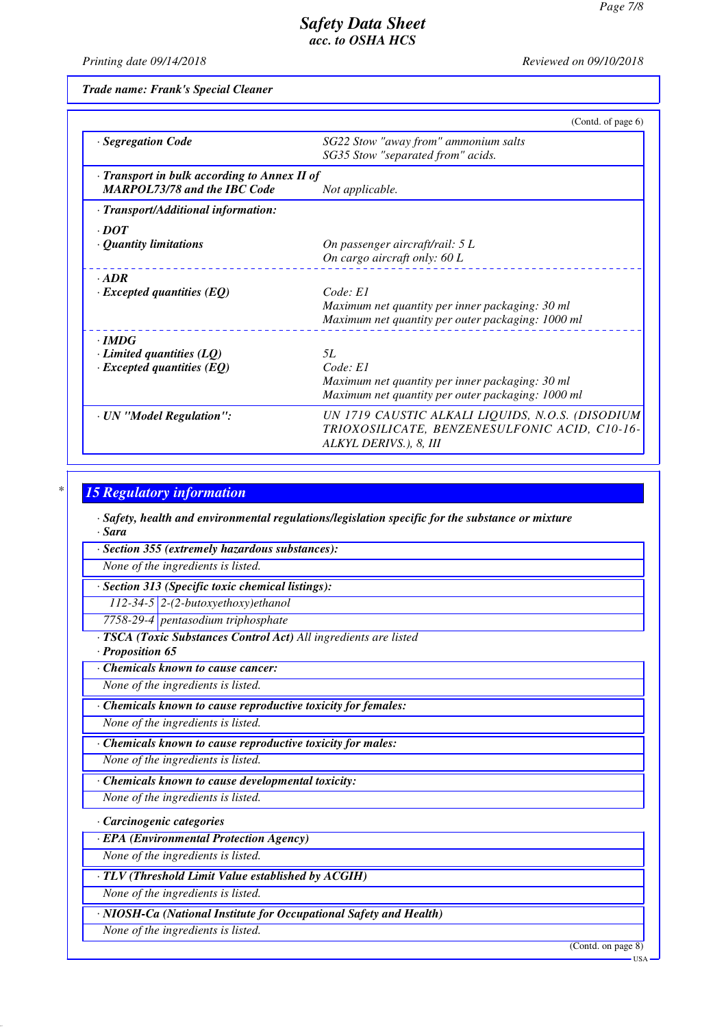*Printing date 09/14/2018 Reviewed on 09/10/2018*

*Trade name: Frank's Special Cleaner*

|                                                                                     | (Contd. of page 6)                                                                                                          |
|-------------------------------------------------------------------------------------|-----------------------------------------------------------------------------------------------------------------------------|
| · Segregation Code                                                                  | SG22 Stow "away from" ammonium salts<br>SG35 Stow "separated from" acids.                                                   |
| · Transport in bulk according to Annex II of<br><b>MARPOL73/78 and the IBC Code</b> | Not applicable.                                                                                                             |
| · Transport/Additional information:                                                 |                                                                                                                             |
| $\cdot$ DOT<br>• Quantity limitations                                               | On passenger aircraft/rail: 5 L<br>On cargo aircraft only: 60 L                                                             |
| $-ADR$<br>$\cdot$ Excepted quantities (EQ)                                          | Code: El<br>Maximum net quantity per inner packaging: 30 ml<br>Maximum net quantity per outer packaging: 1000 ml            |
| $\cdot$ IMDG<br>$\cdot$ Limited quantities (LQ)<br>$\cdot$ Excepted quantities (EQ) | .5L<br>Code: El<br>Maximum net quantity per inner packaging: 30 ml<br>Maximum net quantity per outer packaging: 1000 ml     |
| · UN "Model Regulation":                                                            | UN 1719 CAUSTIC ALKALI LIQUIDS, N.O.S. (DISODIUM<br>TRIOXOSILICATE, BENZENESULFONIC ACID, C10-16-<br>ALKYL DERIVS.), 8, III |

## *\* 15 Regulatory information*

*· Safety, health and environmental regulations/legislation specific for the substance or mixture · Sara*

*· Section 355 (extremely hazardous substances):*

*None of the ingredients is listed.*

*· Section 313 (Specific toxic chemical listings):*

*112-34-5 2-(2-butoxyethoxy)ethanol*

*7758-29-4 pentasodium triphosphate*

*· TSCA (Toxic Substances Control Act) All ingredients are listed*

## *· Proposition 65*

*· Chemicals known to cause cancer:*

*None of the ingredients is listed.*

*· Chemicals known to cause reproductive toxicity for females:*

*None of the ingredients is listed.*

*· Chemicals known to cause reproductive toxicity for males:*

*None of the ingredients is listed.*

*· Chemicals known to cause developmental toxicity:*

*None of the ingredients is listed.*

*· Carcinogenic categories*

*· EPA (Environmental Protection Agency)*

*None of the ingredients is listed.*

*· TLV (Threshold Limit Value established by ACGIH)*

*None of the ingredients is listed.*

*· NIOSH-Ca (National Institute for Occupational Safety and Health)*

*None of the ingredients is listed.*

(Contd. on page 8)

USA